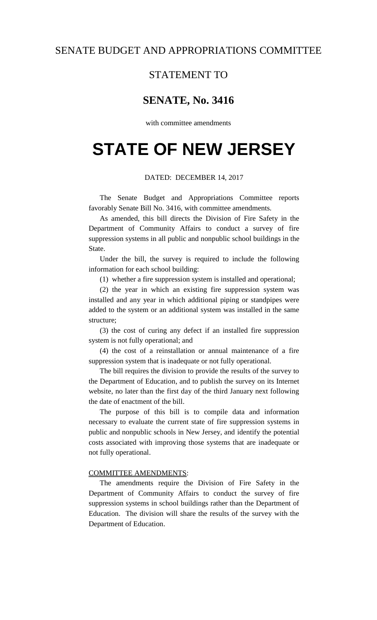## SENATE BUDGET AND APPROPRIATIONS COMMITTEE

### STATEMENT TO

## **SENATE, No. 3416**

with committee amendments

# **STATE OF NEW JERSEY**

### DATED: DECEMBER 14, 2017

The Senate Budget and Appropriations Committee reports favorably Senate Bill No. 3416, with committee amendments.

As amended, this bill directs the Division of Fire Safety in the Department of Community Affairs to conduct a survey of fire suppression systems in all public and nonpublic school buildings in the State.

Under the bill, the survey is required to include the following information for each school building:

(1) whether a fire suppression system is installed and operational;

(2) the year in which an existing fire suppression system was installed and any year in which additional piping or standpipes were added to the system or an additional system was installed in the same structure;

(3) the cost of curing any defect if an installed fire suppression system is not fully operational; and

(4) the cost of a reinstallation or annual maintenance of a fire suppression system that is inadequate or not fully operational.

The bill requires the division to provide the results of the survey to the Department of Education, and to publish the survey on its Internet website, no later than the first day of the third January next following the date of enactment of the bill.

The purpose of this bill is to compile data and information necessary to evaluate the current state of fire suppression systems in public and nonpublic schools in New Jersey, and identify the potential costs associated with improving those systems that are inadequate or not fully operational.

#### COMMITTEE AMENDMENTS:

The amendments require the Division of Fire Safety in the Department of Community Affairs to conduct the survey of fire suppression systems in school buildings rather than the Department of Education. The division will share the results of the survey with the Department of Education.